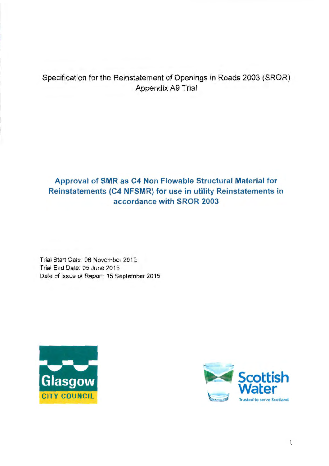# Specification for the Reinstatement of Openings in Roads 2003 (SROR) Appendix A9 Trial

# **Approval of SMR as C4 Non Flowable Structural Material for Reinstatements (C4 NFSMR) for use in utility Reinstatements in accordance with SROR 2003**

Trial Start Date: 06 November 2012 Trial End Date: 05 June 2015 Date of Issue of Report: 15 September 2015



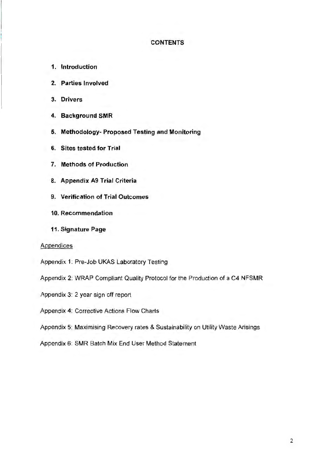## **CONTENTS**

- **1. Introduction**
- **2. Parties Involved**
- **3. Drivers**
- **4. Background SMR**
- **5. Methodology- Proposed Testing and Monitoring**
- **6. Sites tested for Trial**
- **7. Methods of Production**
- **8. Appendix A9 Trial Criteria**
- **9. Verification of Trial Outcomes**
- **10. Recommendation**
- **11. Signature Page**

## Appendices

- Appendix 1: Pre-Job UKAS Laboratory Testing
- Appendix 2: WRAP Compliant Quality Protocol for the Production of a C4 NFSMR
- Appendix 3: 2 year sign off report
- Appendix 4: Corrective Actions Flow Charts
- Appendix 5: Maximising Recovery rates & Sustainability on Utility Waste Arisings
- Appendix 6: SMR Batch Mix End User Method Statement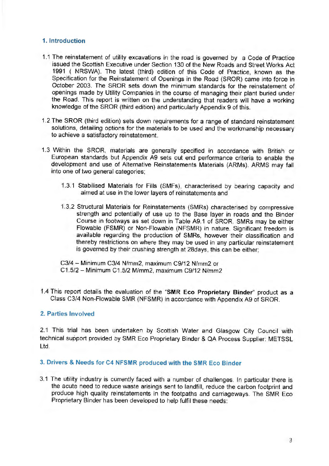# **1. Introduction**

- 1.1 The reinstatement of utility excavations in the road is governed by a Code of Practice issued the Scottish Executive under Section 130 of the New Roads and Street Works Act 1991 ( NRSWA). The latest (third) edition of this Code of Practice, known as the Specification for the Reinstatement of Openings in the Road (SROR) came into force in October 2003. The SROR sets down the minimum standards for the reinstatement of openings made by Utility Companies in the course of managing their plant buried under the Road. This report is written on the understanding that readers will have a working knowledge of the SROR (third edition) and particularly Appendix 9 of this.
- 1.2 The SROR (third edition) sets down requirements for a range of standard reinstatement solutions, detailing options for the materials to be used and the workmanship necessary to achieve a satisfactory reinstatement.
- 1.3 Within the SROR, materials are generally specified in accordance with British or European standards but Appendix A9 sets out end performance criteria to enable the development and use of Alternative Reinstatements Materials (ARMs). ARMS may fall into one of two general categories;
	- 1.3.1 Stabilised Materials for Fills (SMFs), characterised by bearing capacity and aimed at use in the lower layers of reinstatements and
	- 1.3.2 Structural Materials for Reinstatements (SMRs) characterised by compressive strength and potentially of use up to the Base layer in roads and the Binder Course in footways as set down in Table A9.1 of SROR. SMRs may be either Flowable (FSMR) or Non-Flowable (NFSMR) in nature. Significant freedom is available regarding the production of SMRs, however their classification and thereby restrictions on where they may be used in any particular reinstatement is governed by their crushing strength at 28days, this can be either;

C3/4 - Minimum C3/4 N/mm2, maximum C9/12 N/mm2 or C 1.5/2 - Minimum C 1.5/2 M/mm2, maximum C9/12 N/mm2

1.4 This report details the evaluation of the **''SMR Eco Proprietary Binder"** product as a Class C3/4 Non-Flowable SMR (NFSMR) in accordance with Appendix A9 of SROR.

# **2. Parties Involved**

2.1 This trial has been undertaken by Scottish Water and Glasgow City Council with technical support provided by SMR Eco Proprietary Binder & QA Process Supplier: METSSL Ltd.

# **3. Drivers & Needs for C4 NFSMR produced with the SMR Eco Binder**

3.1 The utility industry is currently faced with a number of challenges. In particular there is the acute need to reduce waste arisings sent to landfill, reduce the carbon footprint and produce high quality reinstatements in the footpaths and carriageways. The SMR Eco Proprietary Binder has been developed to help fulfil these needs: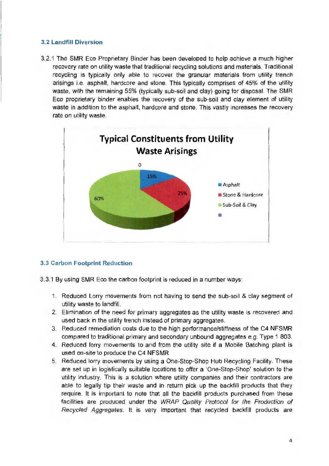# **3.2 Landfill Diversion**

3.2.1 The SMR Eco Proprietary Binder has been developed to help achieve a much higher recovery rate on utility waste that traditional recycling solutions and materials. Traditional recycling is typically only able to recover the granular materials from utility trench arisings i.e. asphalt, hardcore and stone. This typically comprises of 45% of the utility waste, with the remaining 55% (typically sub-soil and clay) going for disposal. The SMR Eco proprietary binder enables the recovery of the sub-soil and clay element of utility waste in addition to the asphalt, hardcore and stone. This vastly increases the recovery rate on utility waste.



# **3.3 Carbon Footprint Reduction**

- 3.3.1 By using SMR Eco the carbon footprint is reduced in a number ways:
	- 1. Reduced Lorry movements from not having to send the sub-soil & clay segment of utility waste to landfill.
	- 2. Elimination of the need for primary aggregates as the utility waste is recovered and used back in the utility trench instead of primary aggregates.
	- 3. Reduced remediation costs due to the high performance/stiffness of the C4 NFSMR compared to traditional primary and secondary unbound aggregates e.g. Type 1 803.
	- 4. Reduced lorry movements to and from the utility site if a Mobile Batching plant is used on-site to produce the C4 NFSMR
	- 5. Reduced lorry movements by using a One-Stop-Shop Hub Recycling Facility. These are set up in logistically suitable locations to offer a 'One-Stop-Shop' solution to the utility industry. This is a solution where utility companies and their contractors are able to legally tip their waste and in return pick up the backfill products that they require. It is important to note that all the backfill products purchased from these facilities are produced under the WRAP Quality Protocol for the Production of Recycled Aggregates. It is very important that recycled backfill products are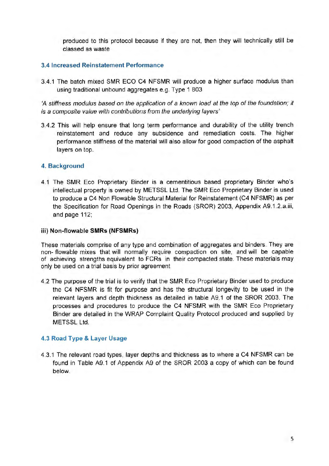produced to this protocol because if they are not, then they will technically still be classed as waste

# **3.4 Increased Reinstatement Performance**

3.4.1 The batch mixed SMR ECO C4 NFSMR will produce a higher surface modulus than using traditional unbound aggregates e.g. Type 1 803

'A stiffness modulus based on the application of a known load at the top of the foundation; it is a composite value with contributions from the underlying layers'

3.4.2 This will help ensure that long term performance and durability of the utility trench reinstatement and reduce any subsidence and remediation costs. The higher performance stiffness of the material will also allow for good compaction of the asphalt layers on top.

# **4. Background**

4.1 The SMR Eco Proprietary Binder is a cementitious based proprietary Binder who's intellectual property is owned by METSSL Ltd. The SMR Eco Proprietary Binder is used to produce a C4 Non Flowable Structural Material for Reinstatement (C4 NFSMR) as per the Specification for Road Openings in the Roads (SROR) 2003, Appendix A9.1.2.a.iii, and page 112;

## **iii) Non-flowable SMRs (NFSMRs)**

These materials comprise of any type and combination of aggregates and binders. They are non- flowable mixes that will normally require compaction on site, and will be capable of achieving strengths equivalent to FCRs in their compacted state. These materials may only be used on a trial basis by prior agreement

4.2 The purpose of the trial is to verify that the SMR Eco Proprietary Binder used to produce the C4 NFSMR is fit for purpose and has the structural longevity to be used in the relevant layers and depth thickness as detailed in table A9.1 of the SROR 2003. The processes and procedures to produce the C4 NFSMR with the SMR Eco Proprietary Binder are detailed in the WRAP Complaint Quality Protocol produced and supplied by METSSL Ltd.

# **4.3 Road Type & Layer Usage**

4.3.1 The relevant road types, layer depths and thickness as to where a C4 NFSMR can be found in Table A9.1 of Appendix A9 of the SROR 2003 a copy of which can be found below.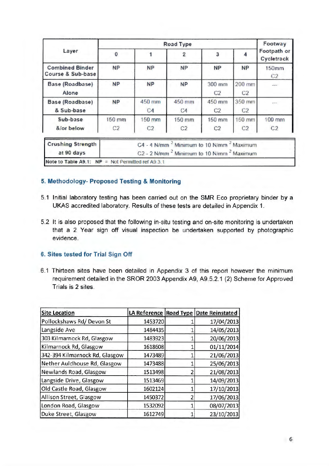|                                             |                          | Footway                                                                                                                              |                           |                          |                          |                          |  |  |  |
|---------------------------------------------|--------------------------|--------------------------------------------------------------------------------------------------------------------------------------|---------------------------|--------------------------|--------------------------|--------------------------|--|--|--|
| Layer                                       | 3                        |                                                                                                                                      | Footpath or<br>Cycletrack |                          |                          |                          |  |  |  |
| <b>Combined Binder</b><br>Course & Sub-base | <b>NP</b>                | <b>NP</b>                                                                                                                            | <b>NP</b>                 | <b>NP</b>                | <b>NP</b>                | <b>150mm</b><br>C2       |  |  |  |
| Base (Roadbase)<br>Alone                    | <b>NP</b>                | <b>NP</b>                                                                                                                            | <b>NP</b>                 | 300 mm<br>C <sub>2</sub> | 200 mm<br>C <sub>2</sub> | <b>Allen</b>             |  |  |  |
| Base (Roadbase)<br>& Sub-base               | <b>NP</b>                | 450 mm<br>C <sub>4</sub>                                                                                                             | 450 mm<br>C4              | 450 mm<br>C <sub>2</sub> | 350 mm<br>C <sub>2</sub> | مستب                     |  |  |  |
| Sub-base<br>&lor below                      | 150 mm<br>C <sub>2</sub> | 150 mm<br>C <sub>2</sub>                                                                                                             | 150 mm<br>C <sub>2</sub>  | 150 mm<br>C <sub>2</sub> | 150 mm<br>C <sub>2</sub> | 100 mm<br>C <sub>2</sub> |  |  |  |
| <b>Crushing Strength</b><br>at 90 days      |                          | C4 - 4 N/mm <sup>2</sup> Minimum to 10 N/mm <sup>2</sup> Maximum<br>C2 - 2 N/mm <sup>2</sup> Minimum to 10 N/mm <sup>2</sup> Maximum |                           |                          |                          |                          |  |  |  |

# **5. Methodology- Proposed Testing** & **Monitoring**

- 5.1 Initial laboratory testing has been carried out on the SMR Eco proprietary binder by a UKAS accredited laboratory. Results of these tests are detailed in Appendix 1.
- 5.2 It is also proposed that the following in-situ testing and on-site monitoring is undertaken that a 2 Year sign off visual inspection be undertaken supported by photographic evidence.

# **6. Sites tested for Trial Sign Off**

6.1 Thirteen sites have been detailed in Appendix 3 of this report however the minimum requirement detailed in the SROR 2003 Appendix A9, A9.5.2.1 (2) Scheme for Approved Trials is 2 sites.

| <b>Site Location</b>           |         | LA Reference Road Type Date Reinstated |
|--------------------------------|---------|----------------------------------------|
| Pollockshaws Rd/Devon St       | 1453720 | 17/04/2013                             |
| Langside Ave                   | 1484435 | 14/05/2013                             |
| 303 Kilmarnock Rd, Glasgow     | 1483923 | 20/06/2013                             |
| Kilmarnock Rd, Glasgow         | 1618608 | 01/11/2014                             |
| 342-394 Kilmarnock Rd, Glasgow | 1473489 | 21/06/2013                             |
| Nether Auldhouse Rd, Glasgow   | 1473488 | 25/06/2013                             |
| Newlands Road, Glasgow         | 1513498 | 21/08/2013                             |
| Langside Drive, Glasgow        | 1513469 | 14/09/2013                             |
| Old Castle Road, Glasgow       | 1602124 | 17/10/2013                             |
| Allison Street, Glasgow        | 1450372 | 17/06/2013                             |
| London Road, Glasgow           | 1532092 | 08/07/2013                             |
| Duke Street, Glasgow           | 1612749 | 23/10/2013                             |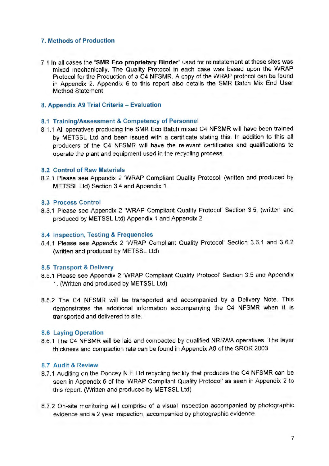# **7. Methods of Production**

7.1 In all cases the **"SMR Eco proprietary Binder"** used for reinstatement at these sites was mixed mechanically. The Quality Protocol in each case was based upon the WRAP Protocol for the Production of a C4 NFSMR. A copy of the WRAP protocol can be found in Appendix 2. Appendix 6 to this report also details the SMR Batch Mix End User Method Statement

## **8. Appendix A9 Trial Criteria - Evaluation**

## **8.1 Training/Assessment & Competency of Personnel**

8.1.1 All operatives producing the SMR Eco Batch mixed C4 NFSMR will have been trained by METSSL Ltd and been issued with a certificate stating this. In addition to this all producers of the C4 NFSMR will have the relevant certificates and qualifications to operate the plant and equipment used in the recycling process.

#### **8.2 Control of Raw Materials**

8.2.1 Please see Appendix 2 'WRAP Compliant Quality Protocol' (written and produced by METSSL Ltd) Section 3.4 and Appendix 1

## **8.3 Process Control**

8.3.1 Please see Appendix 2 'WRAP Compliant Quality Protocol' Section 3.5, (written and produced by METSSL Ltd) Appendix 1 and Appendix 2.

### **8.4 Inspection, Testing & Frequencies**

8.4.1 Please see Appendix 2 'WRAP Compliant Quality Protocol' Section 3.6.1 and 3.6.2 (written and produced by METSSL Ltd)

#### **8.5 Transport & Delivery**

- 8.5.1 Please see Appendix 2 'WRAP Compliant Quality Protocol' Section 3.5 and Appendix 1. (Written and produced by METSSL Ltd)
- 8.5.2 The C4 NFSMR will be transported and accompanied by a Delivery Note. This demonstrates the additional information accompanying the C4 NFSMR when it is transported and delivered to site.

# **8.6 Laying Operation**

8.6.1 The C4 NFSMR will be laid and compacted by qualified NRSWA operatives. The layer thickness and compaction rate can be found in Appendix A8 of the SROR 2003

# **8.7 Audit & Review**

- 8.7.1 Auditing on the Doocey N.E Ltd recycling facility that produces the C4 NFSMR can be seen in Appendix 6 of the 'WRAP Compliant Quality Protocol' as seen in Appendix 2 to this report. (Written and produced by METSSL Ltd)
- 8. 7 .2 On-site monitoring will comprise of a visual inspection accompanied by photographic evidence and a 2 year inspection, accompanied by photographic evidence.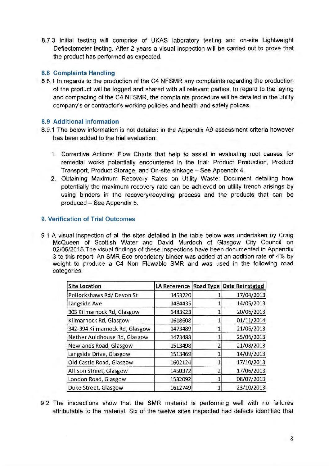8.7.3 Initial testing will comprise of UKAS laboratory testing and on-site Lightweight Deflectometer testing. After 2 years a visual inspection will be carried out to prove that the product has performed as expected.

# **8.8 Complaints Handling**

8.8.1 In regards to the production of the C4 NFSMR any complaints regarding the production of the product will be logged and shared with all relevant parties. In regard to the laying and compacting of the C4 NFSMR, the complaints procedure will be detailed in the utility company's or contractor's working policies and health and safety polices.

# **8.9 Additional Information**

- 8.9.1 The below information is not detailed in the Appendix A9 assessment criteria however has been added to the trial evaluation:
	- 1. Corrective Actions: Flow Charts that help to assist in evaluating root causes for remedial works potentially encountered in the trial: Product Production, Product Transport, Product Storage, and On-site sinkage - See Appendix 4.
	- 2. Obtaining Maximum Recovery Rates on Utility Waste: Document detailing how potentially the maximum recovery rate can be achieved on utility trench arisings by using binders in the recovery/recycling process and the products that can be produced - See Appendix 5.

# **9. Verification of Trial Outcomes**

9.1 A visual inspection of all the sites detailed in the table below was undertaken by Craig McQueen of Scottish Water and David Murdoch of Glasgow City Council on 02/06/2015.The visual findings of these inspections have been documented in Appendix 3 to this report. An SMR Eco proprietary binder was added at an addition rate of 4% by weight to produce a C4 Non Flowable SMR and was used in the following road categories:

| <b>Site Location</b>           | LA Reference       | <b>Road Type Date Reinstated</b> |
|--------------------------------|--------------------|----------------------------------|
| Pollockshaws Rd/Devon St       | 1453720            | 17/04/2013                       |
| Langside Ave                   | 1484435            | 14/05/2013                       |
| 303 Kilmarnock Rd, Glasgow     | 1483923            | 20/06/2013                       |
| Kilmarnock Rd, Glasgow         | 1618608            | 01/11/2014                       |
| 342-394 Kilmarnock Rd, Glasgow | 1473489            | 21/06/2013                       |
| Nether Auldhouse Rd, Glasgow   | 1473488<br>1513498 | 25/06/2013<br>21/08/2013         |
| Newlands Road, Glasgow         |                    |                                  |
| Langside Drive, Glasgow        | 1513469            | 14/09/2013                       |
| Old Castle Road, Glasgow       | 1602124            | 17/10/2013                       |
| Allison Street, Glasgow        | 1450372            | 17/06/2013                       |
| London Road, Glasgow           | 1532092            | 08/07/2013                       |
| Duke Street, Glasgow           | 1612749            | 23/10/2013                       |

9.2 The inspections show that the SMR material is performing well with no failures attributable to the material. Six of the twelve sites inspected had defects identified that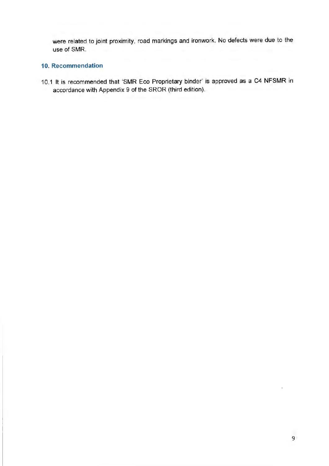were related to joint proximity, road markings and ironwork. No defects were due to the use of SMR.

# **10. Recommendation**

10.1 It is recommended that 'SMR Eco Proprietary binder' is approved as a C4 NFSMR in accordance with Appendix 9 of the SROR (third edition).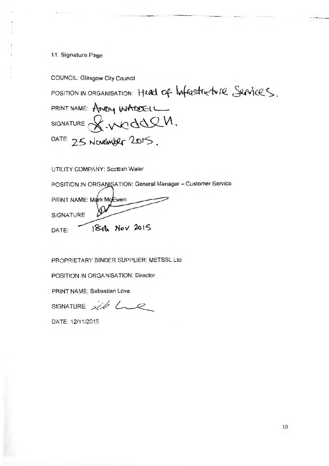11. Signature Page

COUNCIL: Glasgow City Council

POSITION IN ORGANISATION: Head of *\*wfrastrictvire Services.

PRINT NAME: ANDY WADDELL  $SISNATIVE$  $X$ . $WddQ$ DATE:  $25$  November  $2015$ .

UTILITY **COMPANY: Scottish Water** 

POSITION IN ORGANISATION: General Manager - Customer Service

PRINT NAME: Mark MoEwen **SIGNATURE** 18th Nov 2015 DATE:

PROPRIETARY BINDER SUPPLIER: METSSL Ltd

POSITION IN ORGANISATION: Director

PRINT NAME: Sebastian Love

SIGNATURE:  $sib$   $L$ 

DATE: 12/11/2015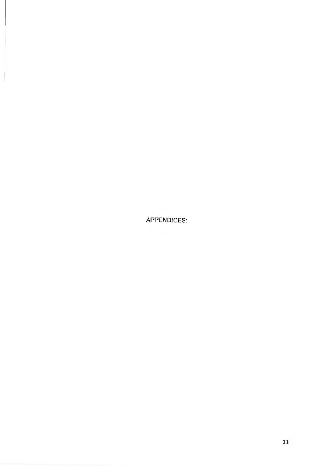APPENDICES: